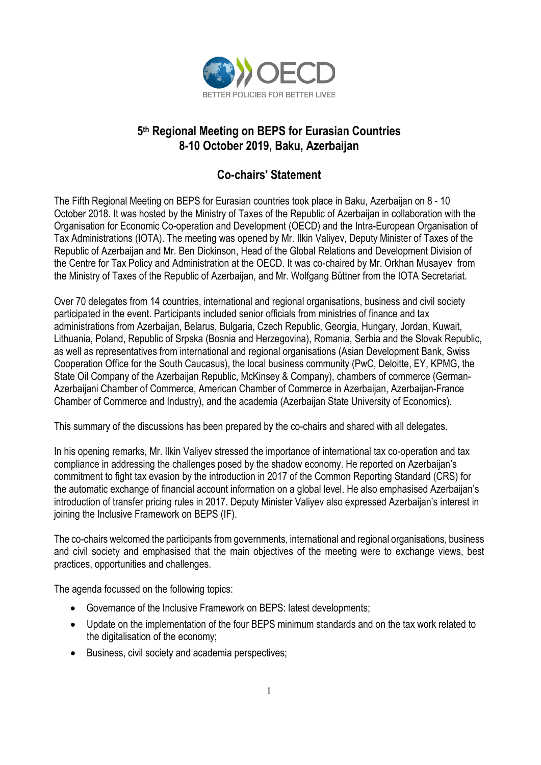

# **5th Regional Meeting on BEPS for Eurasian Countries 8-10 October 2019, Baku, Azerbaijan**

# **Co-chairs' Statement**

The Fifth Regional Meeting on BEPS for Eurasian countries took place in Baku, Azerbaijan on 8 - 10 October 2018. It was hosted by the Ministry of Taxes of the Republic of Azerbaijan in collaboration with the Organisation for Economic Co-operation and Development (OECD) and the Intra-European Organisation of Tax Administrations (IOTA). The meeting was opened by Mr. Ilkin Valiyev, Deputy Minister of Taxes of the Republic of Azerbaijan and Mr. Ben Dickinson, Head of the Global Relations and Development Division of the Centre for Tax Policy and Administration at the OECD. It was co-chaired by Mr. Orkhan Musayev from the Ministry of Taxes of the Republic of Azerbaijan, and Mr. Wolfgang Büttner from the IOTA Secretariat.

Over 70 delegates from 14 countries, international and regional organisations, business and civil society participated in the event. Participants included senior officials from ministries of finance and tax administrations from Azerbaijan, Belarus, Bulgaria, Czech Republic, Georgia, Hungary, Jordan, Kuwait, Lithuania, Poland, Republic of Srpska (Bosnia and Herzegovina), Romania, Serbia and the Slovak Republic, as well as representatives from international and regional organisations (Asian Development Bank, Swiss Cooperation Office for the South Caucasus), the local business community (PwC, Deloitte, EY, KPMG, the State Oil Company of the Azerbaijan Republic, McKinsey & Company), chambers of commerce (German-Azerbaijani Chamber of Commerce, American Chamber of Commerce in Azerbaijan, Azerbaijan-France Chamber of Commerce and Industry), and the academia (Azerbaijan State University of Economics).

This summary of the discussions has been prepared by the co-chairs and shared with all delegates.

In his opening remarks, Mr. Ilkin Valiyev stressed the importance of international tax co-operation and tax compliance in addressing the challenges posed by the shadow economy. He reported on Azerbaijan's commitment to fight tax evasion by the introduction in 2017 of the Common Reporting Standard (CRS) for the automatic exchange of financial account information on a global level. He also emphasised Azerbaijan's introduction of transfer pricing rules in 2017. Deputy Minister Valiyev also expressed Azerbaijan's interest in joining the Inclusive Framework on BEPS (IF).

The co-chairs welcomed the participants from governments, international and regional organisations, business and civil society and emphasised that the main objectives of the meeting were to exchange views, best practices, opportunities and challenges.

The agenda focussed on the following topics:

- Governance of the Inclusive Framework on BEPS: latest developments;
- Update on the implementation of the four BEPS minimum standards and on the tax work related to the digitalisation of the economy;
- Business, civil society and academia perspectives;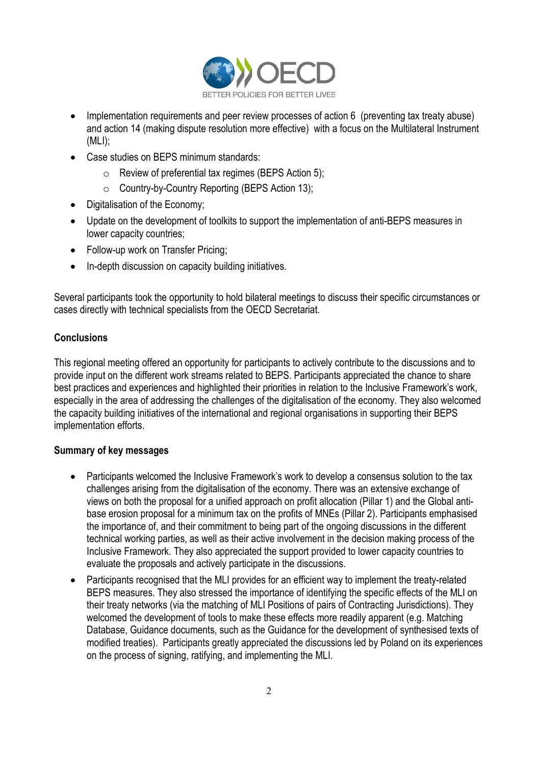

- Implementation requirements and peer review processes of action 6 (preventing tax treaty abuse) and action 14 (making dispute resolution more effective) with a focus on the Multilateral Instrument (MLI);
- Case studies on BEPS minimum standards:
	- o Review of preferential tax regimes (BEPS Action 5);
	- o Country-by-Country Reporting (BEPS Action 13);
- Digitalisation of the Economy;
- Update on the development of toolkits to support the implementation of anti-BEPS measures in lower capacity countries;
- Follow-up work on Transfer Pricing;
- In-depth discussion on capacity building initiatives.

Several participants took the opportunity to hold bilateral meetings to discuss their specific circumstances or cases directly with technical specialists from the OECD Secretariat.

## **Conclusions**

This regional meeting offered an opportunity for participants to actively contribute to the discussions and to provide input on the different work streams related to BEPS. Participants appreciated the chance to share best practices and experiences and highlighted their priorities in relation to the Inclusive Framework's work, especially in the area of addressing the challenges of the digitalisation of the economy. They also welcomed the capacity building initiatives of the international and regional organisations in supporting their BEPS implementation efforts.

### **Summary of key messages**

- Participants welcomed the Inclusive Framework's work to develop a consensus solution to the tax challenges arising from the digitalisation of the economy. There was an extensive exchange of views on both the proposal for a unified approach on profit allocation (Pillar 1) and the Global antibase erosion proposal for a minimum tax on the profits of MNEs (Pillar 2). Participants emphasised the importance of, and their commitment to being part of the ongoing discussions in the different technical working parties, as well as their active involvement in the decision making process of the Inclusive Framework. They also appreciated the support provided to lower capacity countries to evaluate the proposals and actively participate in the discussions.
- Participants recognised that the MLI provides for an efficient way to implement the treaty-related BEPS measures. They also stressed the importance of identifying the specific effects of the MLI on their treaty networks (via the matching of MLI Positions of pairs of Contracting Jurisdictions). They welcomed the development of tools to make these effects more readily apparent (e.g. Matching Database, Guidance documents, such as the Guidance for the development of synthesised texts of modified treaties). Participants greatly appreciated the discussions led by Poland on its experiences on the process of signing, ratifying, and implementing the MLI.